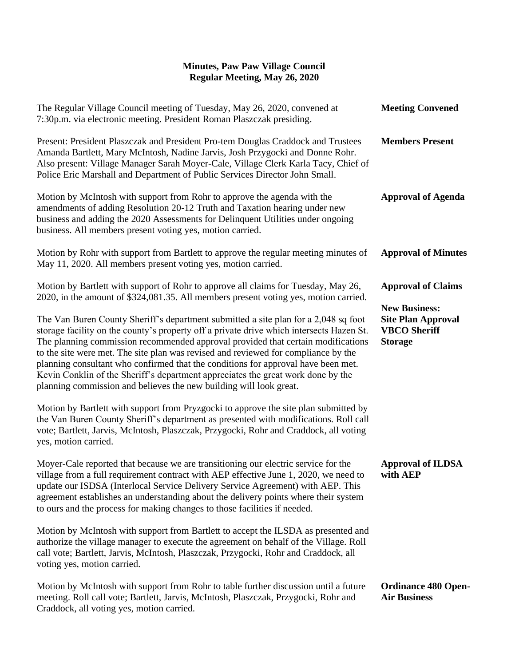| The Regular Village Council meeting of Tuesday, May 26, 2020, convened at<br>7:30p.m. via electronic meeting. President Roman Plaszczak presiding.                                                                                                                                                                                                                                                                                                                                                                                                                                                       | <b>Meeting Convened</b>                                                                                                 |
|----------------------------------------------------------------------------------------------------------------------------------------------------------------------------------------------------------------------------------------------------------------------------------------------------------------------------------------------------------------------------------------------------------------------------------------------------------------------------------------------------------------------------------------------------------------------------------------------------------|-------------------------------------------------------------------------------------------------------------------------|
| Present: President Plaszczak and President Pro-tem Douglas Craddock and Trustees<br>Amanda Bartlett, Mary McIntosh, Nadine Jarvis, Josh Przygocki and Donne Rohr.<br>Also present: Village Manager Sarah Moyer-Cale, Village Clerk Karla Tacy, Chief of<br>Police Eric Marshall and Department of Public Services Director John Small.                                                                                                                                                                                                                                                                   | <b>Members Present</b>                                                                                                  |
| Motion by McIntosh with support from Rohr to approve the agenda with the<br>amendments of adding Resolution 20-12 Truth and Taxation hearing under new<br>business and adding the 2020 Assessments for Delinquent Utilities under ongoing<br>business. All members present voting yes, motion carried.                                                                                                                                                                                                                                                                                                   | <b>Approval of Agenda</b>                                                                                               |
| Motion by Rohr with support from Bartlett to approve the regular meeting minutes of<br>May 11, 2020. All members present voting yes, motion carried.                                                                                                                                                                                                                                                                                                                                                                                                                                                     | <b>Approval of Minutes</b>                                                                                              |
| Motion by Bartlett with support of Rohr to approve all claims for Tuesday, May 26,<br>2020, in the amount of \$324,081.35. All members present voting yes, motion carried.                                                                                                                                                                                                                                                                                                                                                                                                                               | <b>Approval of Claims</b><br><b>New Business:</b><br><b>Site Plan Approval</b><br><b>VBCO</b> Sheriff<br><b>Storage</b> |
| The Van Buren County Sheriff's department submitted a site plan for a 2,048 sq foot<br>storage facility on the county's property off a private drive which intersects Hazen St.<br>The planning commission recommended approval provided that certain modifications<br>to the site were met. The site plan was revised and reviewed for compliance by the<br>planning consultant who confirmed that the conditions for approval have been met.<br>Kevin Conklin of the Sheriff's department appreciates the great work done by the<br>planning commission and believes the new building will look great. |                                                                                                                         |
| Motion by Bartlett with support from Pryzgocki to approve the site plan submitted by<br>the Van Buren County Sheriff's department as presented with modifications. Roll call<br>vote; Bartlett, Jarvis, McIntosh, Plaszczak, Przygocki, Rohr and Craddock, all voting<br>yes, motion carried.                                                                                                                                                                                                                                                                                                            |                                                                                                                         |
| Moyer-Cale reported that because we are transitioning our electric service for the<br>village from a full requirement contract with AEP effective June 1, 2020, we need to<br>update our ISDSA (Interlocal Service Delivery Service Agreement) with AEP. This<br>agreement establishes an understanding about the delivery points where their system<br>to ours and the process for making changes to those facilities if needed.                                                                                                                                                                        | <b>Approval of ILDSA</b><br>with AEP                                                                                    |
| Motion by McIntosh with support from Bartlett to accept the ILSDA as presented and<br>authorize the village manager to execute the agreement on behalf of the Village. Roll<br>call vote; Bartlett, Jarvis, McIntosh, Plaszczak, Przygocki, Rohr and Craddock, all<br>voting yes, motion carried.                                                                                                                                                                                                                                                                                                        |                                                                                                                         |
| Motion by McIntosh with support from Rohr to table further discussion until a future<br>meeting. Roll call vote; Bartlett, Jarvis, McIntosh, Plaszczak, Przygocki, Rohr and                                                                                                                                                                                                                                                                                                                                                                                                                              | <b>Ordinance 480 Open-</b><br><b>Air Business</b>                                                                       |

Craddock, all voting yes, motion carried.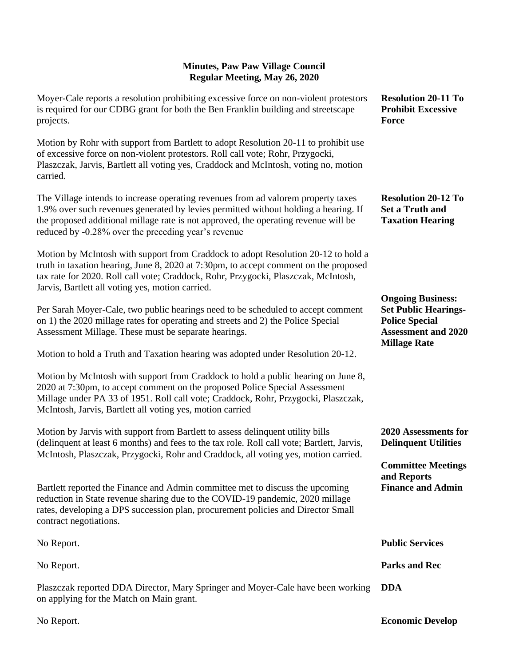| Moyer-Cale reports a resolution prohibiting excessive force on non-violent protestors<br>is required for our CDBG grant for both the Ben Franklin building and streetscape<br>projects.                                                                                                                                | <b>Resolution 20-11 To</b><br><b>Prohibit Excessive</b><br>Force                                                                      |
|------------------------------------------------------------------------------------------------------------------------------------------------------------------------------------------------------------------------------------------------------------------------------------------------------------------------|---------------------------------------------------------------------------------------------------------------------------------------|
| Motion by Rohr with support from Bartlett to adopt Resolution 20-11 to prohibit use<br>of excessive force on non-violent protestors. Roll call vote; Rohr, Przygocki,<br>Plaszczak, Jarvis, Bartlett all voting yes, Craddock and McIntosh, voting no, motion<br>carried.                                              |                                                                                                                                       |
| The Village intends to increase operating revenues from ad valorem property taxes<br>1.9% over such revenues generated by levies permitted without holding a hearing. If<br>the proposed additional millage rate is not approved, the operating revenue will be<br>reduced by -0.28% over the preceding year's revenue | <b>Resolution 20-12 To</b><br><b>Set a Truth and</b><br><b>Taxation Hearing</b>                                                       |
| Motion by McIntosh with support from Craddock to adopt Resolution 20-12 to hold a<br>truth in taxation hearing, June 8, 2020 at 7:30pm, to accept comment on the proposed<br>tax rate for 2020. Roll call vote; Craddock, Rohr, Przygocki, Plaszczak, McIntosh,<br>Jarvis, Bartlett all voting yes, motion carried.    |                                                                                                                                       |
| Per Sarah Moyer-Cale, two public hearings need to be scheduled to accept comment<br>on 1) the 2020 millage rates for operating and streets and 2) the Police Special<br>Assessment Millage. These must be separate hearings.                                                                                           | <b>Ongoing Business:</b><br><b>Set Public Hearings-</b><br><b>Police Special</b><br><b>Assessment and 2020</b><br><b>Millage Rate</b> |
| Motion to hold a Truth and Taxation hearing was adopted under Resolution 20-12.                                                                                                                                                                                                                                        |                                                                                                                                       |
| Motion by McIntosh with support from Craddock to hold a public hearing on June 8,<br>2020 at 7:30pm, to accept comment on the proposed Police Special Assessment<br>Millage under PA 33 of 1951. Roll call vote; Craddock, Rohr, Przygocki, Plaszczak,<br>McIntosh, Jarvis, Bartlett all voting yes, motion carried    |                                                                                                                                       |
| Motion by Jarvis with support from Bartlett to assess delinquent utility bills<br>(delinquent at least 6 months) and fees to the tax role. Roll call vote; Bartlett, Jarvis,<br>McIntosh, Plaszczak, Przygocki, Rohr and Craddock, all voting yes, motion carried.                                                     | 2020 Assessments for<br><b>Delinquent Utilities</b>                                                                                   |
|                                                                                                                                                                                                                                                                                                                        | <b>Committee Meetings</b>                                                                                                             |
| Bartlett reported the Finance and Admin committee met to discuss the upcoming<br>reduction in State revenue sharing due to the COVID-19 pandemic, 2020 millage<br>rates, developing a DPS succession plan, procurement policies and Director Small<br>contract negotiations.                                           | and Reports<br><b>Finance and Admin</b>                                                                                               |
| No Report.                                                                                                                                                                                                                                                                                                             | <b>Public Services</b>                                                                                                                |
| No Report.                                                                                                                                                                                                                                                                                                             | <b>Parks and Rec</b>                                                                                                                  |
| Plaszczak reported DDA Director, Mary Springer and Moyer-Cale have been working<br>on applying for the Match on Main grant.                                                                                                                                                                                            | <b>DDA</b>                                                                                                                            |
|                                                                                                                                                                                                                                                                                                                        |                                                                                                                                       |

No Report.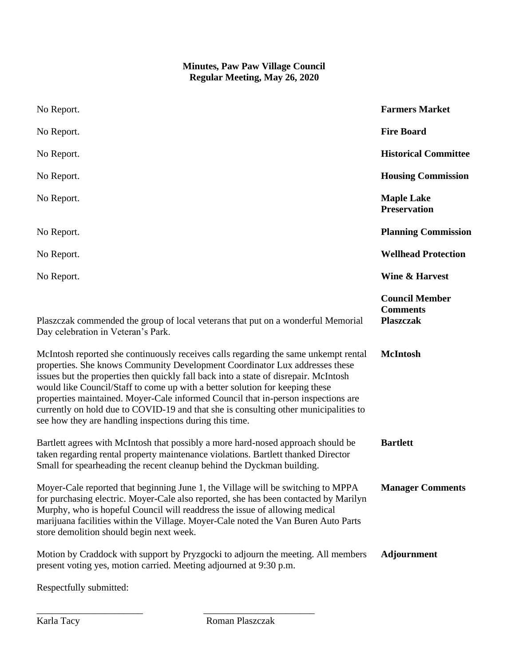| No Report.                                                                                                                                                                                                                                                                                                                                                                                                                                                                                                                                                                         | <b>Farmers Market</b>                                        |
|------------------------------------------------------------------------------------------------------------------------------------------------------------------------------------------------------------------------------------------------------------------------------------------------------------------------------------------------------------------------------------------------------------------------------------------------------------------------------------------------------------------------------------------------------------------------------------|--------------------------------------------------------------|
| No Report.                                                                                                                                                                                                                                                                                                                                                                                                                                                                                                                                                                         | <b>Fire Board</b>                                            |
| No Report.                                                                                                                                                                                                                                                                                                                                                                                                                                                                                                                                                                         | <b>Historical Committee</b>                                  |
| No Report.                                                                                                                                                                                                                                                                                                                                                                                                                                                                                                                                                                         | <b>Housing Commission</b>                                    |
| No Report.                                                                                                                                                                                                                                                                                                                                                                                                                                                                                                                                                                         | <b>Maple Lake</b><br><b>Preservation</b>                     |
| No Report.                                                                                                                                                                                                                                                                                                                                                                                                                                                                                                                                                                         | <b>Planning Commission</b>                                   |
| No Report.                                                                                                                                                                                                                                                                                                                                                                                                                                                                                                                                                                         | <b>Wellhead Protection</b>                                   |
| No Report.                                                                                                                                                                                                                                                                                                                                                                                                                                                                                                                                                                         | <b>Wine &amp; Harvest</b>                                    |
| Plaszczak commended the group of local veterans that put on a wonderful Memorial<br>Day celebration in Veteran's Park.                                                                                                                                                                                                                                                                                                                                                                                                                                                             | <b>Council Member</b><br><b>Comments</b><br><b>Plaszczak</b> |
| McIntosh reported she continuously receives calls regarding the same unkempt rental<br>properties. She knows Community Development Coordinator Lux addresses these<br>issues but the properties then quickly fall back into a state of disrepair. McIntosh<br>would like Council/Staff to come up with a better solution for keeping these<br>properties maintained. Moyer-Cale informed Council that in-person inspections are<br>currently on hold due to COVID-19 and that she is consulting other municipalities to<br>see how they are handling inspections during this time. | <b>McIntosh</b>                                              |
| Bartlett agrees with McIntosh that possibly a more hard-nosed approach should be<br>taken regarding rental property maintenance violations. Bartlett thanked Director<br>Small for spearheading the recent cleanup behind the Dyckman building.                                                                                                                                                                                                                                                                                                                                    | <b>Bartlett</b>                                              |
| Moyer-Cale reported that beginning June 1, the Village will be switching to MPPA<br>for purchasing electric. Moyer-Cale also reported, she has been contacted by Marilyn<br>Murphy, who is hopeful Council will readdress the issue of allowing medical<br>marijuana facilities within the Village. Moyer-Cale noted the Van Buren Auto Parts<br>store demolition should begin next week.                                                                                                                                                                                          | <b>Manager Comments</b>                                      |
| Motion by Craddock with support by Pryzgocki to adjourn the meeting. All members<br>present voting yes, motion carried. Meeting adjourned at 9:30 p.m.                                                                                                                                                                                                                                                                                                                                                                                                                             | <b>Adjournment</b>                                           |

Respectfully submitted:

\_\_\_\_\_\_\_\_\_\_\_\_\_\_\_\_\_\_\_\_\_\_ \_\_\_\_\_\_\_\_\_\_\_\_\_\_\_\_\_\_\_\_\_\_\_